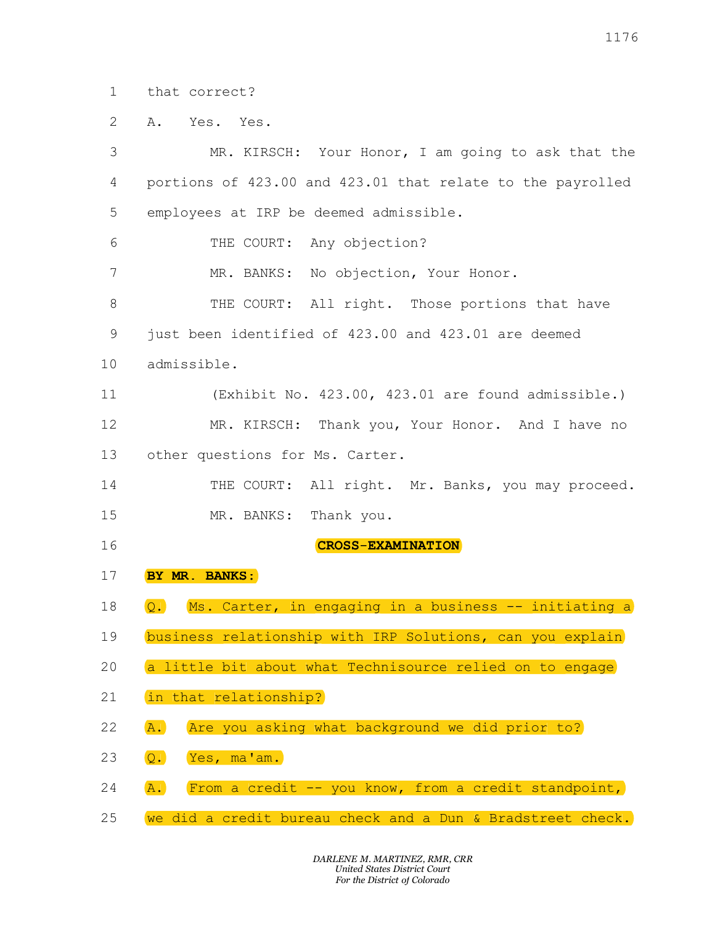1 that correct?

2 A. Yes. Yes.

3 MR. KIRSCH: Your Honor, I am going to ask that the 4 portions of 423.00 and 423.01 that relate to the payrolled 5 employees at IRP be deemed admissible. 6 THE COURT: Any objection? 7 MR. BANKS: No objection, Your Honor. 8 THE COURT: All right. Those portions that have 9 just been identified of 423.00 and 423.01 are deemed 10 admissible. 11 (Exhibit No. 423.00, 423.01 are found admissible.) 12 MR. KIRSCH: Thank you, Your Honor. And I have no 13 other questions for Ms. Carter. 14 THE COURT: All right. Mr. Banks, you may proceed. 15 MR. BANKS: Thank you. 16 **CRC** 17 BY MR. BANKS: 18 Q. Ms. Carter, in engaging in a business -- initiating a 19 business relationship with IRP Solutions, can you 20 (a little bit about what Technisource relied on to engage) 21 (in that relationship?) 22 (A.) Are you asking what background we did prior to? 23 Q. Yes, ma'am. 24 (A.) (From a credit -- you know, from a credit standpoint, 25 we did a credit bureau check and a Dun & Bradstreet that correct?<br>A. Yes. Yes.<br>MR. KIRSCH: Your Honor, I am going to ask<br>portions of 423.00 and 423.01 that relate to the pa 11<br>
that correct?<br>
A. Yes. Yes.<br>
MR. KIRSCH: Your Honor, I am going to ask that the<br>
portions of 423.00 and 423.01 that relate to the payrolle<br>
employees at IRP be deemed admissible. 1176<br>S. Yes.<br>MR. KIRSCH: Your Honor, I am going to ask that the<br>s of 423.00 and 423.01 that relate to the payrolled<br>ss at IRP be deemed admissible.<br>THE COURT: Any objection? 1176<br>
A. Yes. Yes.<br>
MR. KIRSCH: Your Honor, I am going to ask that the<br>
portions of 423.00 and 423.01 that relate to the payrolled<br>
employees at IRP be deemed admissible.<br>
THE COURT: Any objection?<br>
MR. BANKS: No objection 1176<br>
A. Yes. Yes.<br>
MR. KIRSCH: Your Honor, I am going to ask that the<br>
portions of 423.00 and 423.01 that relate to the payrolled<br>
employees at IRP be deemed admissible.<br>
THE COURT: Any objection, Your Honor.<br>
THE COURT: 1176<br>
S. Yes.<br>
MR. KIRSCH: Your Honor, I am going to ask that the<br>
s of 423.00 and 423.01 that relate to the payrolled<br>
s at IRP be deemed admissible.<br>
THE COURT: Any objection?<br>
MR. BANKS: No objection, Your Honor.<br>
THE C 1176<br>
S. Yes.<br>
MR. KIRSCH: Your Honor, I am going to ask that the<br>
s of 423.00 and 423.01 that relate to the payrolled<br>
sa at IRP be deemed admissible.<br>
THE COURT: Any objection?<br>
MR. BANKS: No objection, Your Honor.<br>
THE 1176<br>
S. Yes.<br>
MR. KIRSCE: Your Honor, I am going to ask that the<br>
s of 423.00 and 423.01 that relate to the payrolled<br>
es at IRP be deemed admissible.<br>
THE COURT: Any objection?<br>
MR. BANKS: No objection, Your Honor.<br>
THE A. Yes. Yes.<br>
MR. KIRSCH: Your Honor, I am going to ask that the<br>
portions of 423.00 and 423.01 that relate to the payrolled<br>
employees at IRP be deemed admissible.<br>
THE COURT: Any objection?<br>
MR. BANKS: No objection, Your Yes.<br>
MR. KIRSCH: Your Honor, I am going to ask that the<br>
s of 423.00 and 423.01 that relate to the payrolled<br>
es at IRP be deemed admissible.<br>
THE COURT: Any objection?<br>
MR. BANKS: No objection, Your Honor.<br>
THE COURT: Al MR. KIRSCH: Your Honor, I am going to ask that the<br>sof 423.00 and 423.01 that relate to the payrolled<br>ss at IRP be deemed admissible.<br>THE COURT: Any objection?<br>MR. BANKS: No objection, Your Honor.<br>THE COURT: All right. Tho portions of 423.00 and 423.01 that relate to the payrolled<br>employees at IRP be deemed admissible.<br>THE COURT: Any objection?<br>MR. BANKS: No objection, Your Honor.<br>THE COURT: All right. Those portions that have<br>just been iden THE COURT: Any objection?<br>THE COURT: Any objection, Your Honor.<br>THE COURT: All right. Those portions that have<br>an identified of 423.00 and 423.01 are deemed<br>ble.<br>(Exhibit No. 423.00, 423.01 are found admissible.)<br>MR. KIRSC THE COURT: Any objection?<br>NR. BANKS: No objection, Your Honor.<br>THE COURT: All right. Those portions that have<br>an identified of 423.00 and 423.01 are deemed<br>le.<br>(Exhibit No. 423.00, 423.01 are found admissible.)<br>NR. KIRSCH: CROSS-EXAMINATION THE COURT: All right. Those portions that has<br>just been identified of 423.00 and 423.01 are deemed<br>admissible.<br>(Exhibit No. 423.00, 423.01 are found admissib<br>MR. KIRSCH: Thank you, Your Honor. And I has<br>other questions for just been identified of 423.00 and 423.01 are deemed<br>admissible.<br>
(Exhibit No. 423.00, 423.01 are found admissible.)<br>
MR. KIRSCH: Thank you, Your Honor. And I have no<br>
other questions for Ms. Carter.<br>
THE COURT: All right. admissible.<br>
(Exhibit No. 423.00, 423.01 are found admissible.)<br>
MR. KIRSCH: Thank you, Your Honor. And I have no<br>
other questions for Ms. Carter.<br>
THE COURT: All right. Mr. Banks, you may proceed.<br>
MR. BANKS: Thank you.<br> (Exhibit No. 423.00, 423.01 are found admissible.)<br>
MR. KIRSCH: Thank you, Your Honor. And I have no<br>
other questions for Ms. Carter.<br>
THE COURT: All right. Mr. Banks, you may proceed.<br>
MR. BANKS: Thank you.<br> **CROSS-EXAMIN** MR. KIRSCH: Thank you, Your Honor. And I have<br>
other questions for Ms. Carter.<br>
THE COURT: All right. Mr. Banks, you may prom<br>
MR. BANKS: Thank you.<br> **CROSS-EXAMINATION**<br> **BY MR. BANKS:**<br>
Q. Ms. Carter, in engaging in a bu other questions for Ms. Carter.<br>THE COURT: All right. Mr. Banks, you may proceed.<br>MR. BANKS: Thank you.<br>**CROSS-EXAMINATION**<br>D. Ms. Carter, in engaging in a business -- initiating a<br>business relationship with IRP Solutions, THE COURT: All right. Mr. Banks, you may proced<br>
MR. BANKS: Thank you.<br> **CROSS-EXAMINATION**<br> **D. MR. BANKS:**<br>
Q. MS. Carter, in engaging in a business -- initiating<br>
business relationship with IRP Solutions, can you explai MR. BANKS: Thank you.<br> **CROSS-EXAMINATION**<br> **D.** Ms. Carter, in engaging in a business -- initiating a<br>
business relationship with IRP Solutions, can you explain<br>
a little bit about what Technisource relied on to engage<br>
i **GROSS-EXAMINATION**<br> **Q.** Ms. Carter, in engaging in a business -- initiating a<br>
business relationship with IRP Solutions, can you explain<br>
a little bit about what Technisource relied on to engage<br>
in that relationship?<br>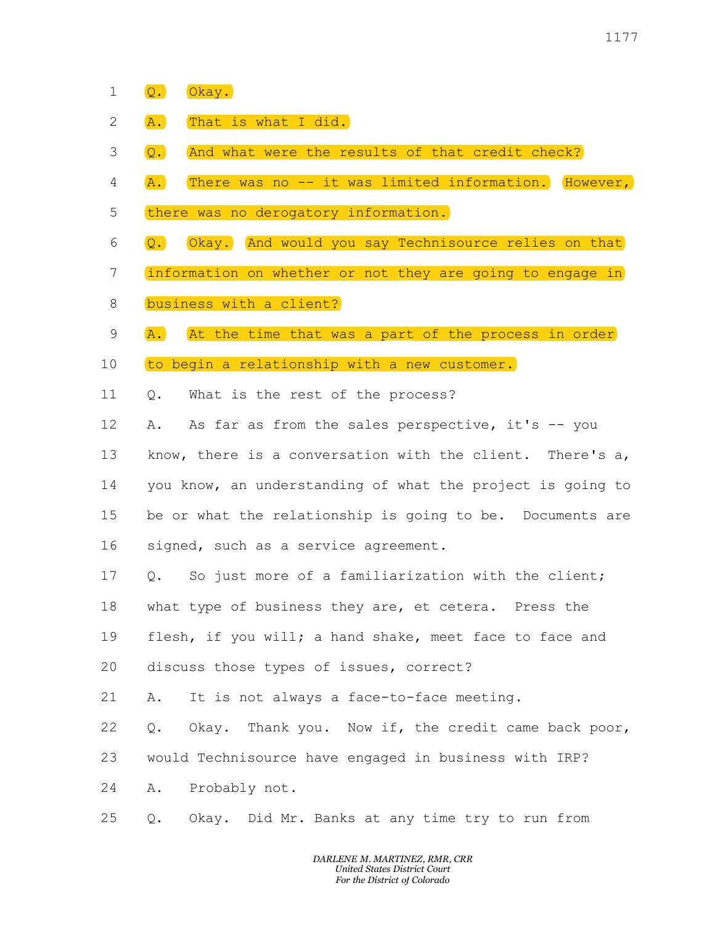- 1 Q. Okay.
- 2 (A.) That is what I did.
- 3 (Q.) (And what were the results of that credit check?)
- 4 (A.) (There was no -- it was limited information.) (However, Q.) Okay.<br>A.) That is what I did.<br>Q.) And what were the results of that credit check<br>A.) There was no -- it was limited information.) (H Q.) Okay.<br>A. That is what I did.<br>Q.) And what were the results of that credit check?<br>A.) There was no -- it was limited information. However,<br>there was no derogatory information. 9. Okay.<br>
A. That is what I did.<br>
2. And what were the results of that credit check?<br>
A. There was no -- it was limited information. However,<br>
there was no derogatory information.<br>
2. Okay. And would you say Technisource r (1177)<br>A. That is what I did.<br>Q. And what were the results of that credit check?<br>A. There was no -- it was limited information. However,<br>there was no derogatory information.<br>Q. Okay. And would you say Technisource relies o 9. Okay.<br>A. That is what I did.<br>Q. And what were the results of that credit check?<br>A. There was no -- it was limited information. (However,<br>there was no derogatory information.)<br>Q. Okay. And would you say Technisource reli Q. Okay.<br>
A. That is what I did.<br>
Q. And what were the results of that credit check?<br>
A. There was no -- it was limited information. However,<br>
there was no derogatory information.<br>
Q. Okay. And would you say Technisource r <sup>1177</sup><br>
2. Okay.<br>
2. And what were the results of that credit check?<br>
2. There was no -- it was limited information. (However,<br>
there was no derogatory information.<br>
2. Okay. And would you say Technisource relies on that<br> 1177<br> **a.** Char,<br> **a.** That is what I did.<br> **a.** There was no -- it was limited information. (Bowever,<br>
there was no derogatory information.)<br> **client?**<br> **a.** Chay. (And would you say Technisource relies on that<br>
informati Q. Okay.<br>
A. That is what I did.<br>
Q. And what were the results of that credit check?<br>
A. There was no -- it was limited information. However,<br>
there was no derogatory information.<br>
Q. Okay. And would you say Technisource r Q. Okay.<br>
A. That is what I did.<br>
Q. And what were the results of that credit check?<br>
A. There was no derogatory information.<br>
there was no derogatory information.<br>
Q. Okay. And would you say Technisource relies on that<br>
i
- 5 (there was no derogatory information.)
- 6 (<mark>Q.</mark> Okay. And would you say Technisource relies on that
- 7 information on whether or not they are going to engage
- 8 business with a client?
- 9 (A.) (At the time that was a part of the process in order)
- 10 to begin a relationship with a new customer.
- 11 0. What is the rest of the process?

12 A. As far as from the sales perspective, it's -- you

13 know, there is a conversation with the client. There's a, 14 you know, an understanding of what the project is going to 15 be or what the relationship is going to be. Documents are 16 signed, such as a service agreement. A.) That is what I did.)<br>Q. And what were the results of that credit check?<br>A.) There was no -- it was limited information. (However,<br>there was no derogatory information.)<br>Q.) Okay.) And would you say Technisource relies o Q.) And what were the results of that credit check?<br>
A. There was no -- it was limited information. However,<br>
there was no derogatory information.<br>
Q. Okay. And would you say Technisource relies on that<br>
information on whe A. There was no -- it was limited information. However,<br>there was no derogatory information.<br>Q. Okay. And would you say Technisource relies on that<br>information on whether or not they are going to engage in<br>business with a there was no derogatory information.<br>
Q. ©kay. And would you say Technisource relies on that<br>
information on whether or not they are going to engage in<br>
business with a client?<br>
A. At the time that was a part of the proces Q. Okay. And would you say Technisource relies on that<br>information on whether or not they are going to engage in<br>business with a client?<br>A. At the time that was a part of the process in order<br>to begin a relationship with a information on whether or not they are going to engage in<br>business with a client?<br>A. (At the time that was a part of the process in order)<br>to begin a relationship with a new customer.<br>Q. What is the rest of the process?<br>A. business with a client?)<br>A. At the time that was a part of the process in order<br>to begin a relationship with a new customer.<br>Q. What is the rest of the process?<br>A. As far as from the sales perspective, it's -- you<br>know, th A. At the time that was a part of the process in order<br>to begin a relationship with a new customer.<br>Q. What is the rest of the process?<br>A. As far as from the sales perspective, it's -- you<br>know, there is a conversation wit to begin a relationship with a new customer.<br>
Q. What is the rest of the process?<br>
A. As far as from the sales perspective, it's -- you<br>
know, there is a conversation with the client. There's a,<br>
you know, an understanding Q. What is the rest of the process?<br>A. As far as from the sales perspective, it's -- you<br>know, there is a conversation with the client. There's a,<br>you know, an understanding of what the project is going to<br>be or what the r A. As far as from the sales perspective, it's -- you<br>know, there is a conversation with the client. There's a,<br>you know, an understanding of what the project is going to<br>be or what the relationship is going to be. Document know, there is a conversation with the client. There's a,<br>you know, an understanding of what the project is going to<br>be or what the relationship is going to be. Documents are<br>signed, such as a service agreement.<br>Q. So just you know, an understanding of what the project is going to<br>be or what the relationship is going to be. Documents are<br>signed, such as a service agreement.<br>Q. So just more of a familiarization with the client;<br>what type of b be or what the relationship is going to be. Documents are<br>signed, such as a service agreement.<br>Q. So just more of a familiarization with the client;<br>what type of business they are, et cetera. Press the<br>flesh, if you will;

- 17 0. So just more of a familiarization with the client; signed, such as a service agreement.<br>
Q. So just more of a familiarization with the client;<br>
what type of business they are, et cetera. Press the<br>
flesh, if you will; a hand shake, meet face to face and<br>
discuss those type
- 18 what type of business they are, et cetera.
- 19 flesh, if you will; a hand shake, meet face to face and
- 20 discuss those types of issues, correct?
- 21 A. It is not always a face-to-face meeting.
- 22 Q. Okay. Thank you. Now if, the credit came back poor,
- 23 would Technisource have engaged in business with IRP?
- 24 A. Probably not.
- 25 Q. Okay. Did Mr. Banks at any time try to run from

DARLENE M. MARTINEZ, RMR, CRR United States District Court For the District of Colorado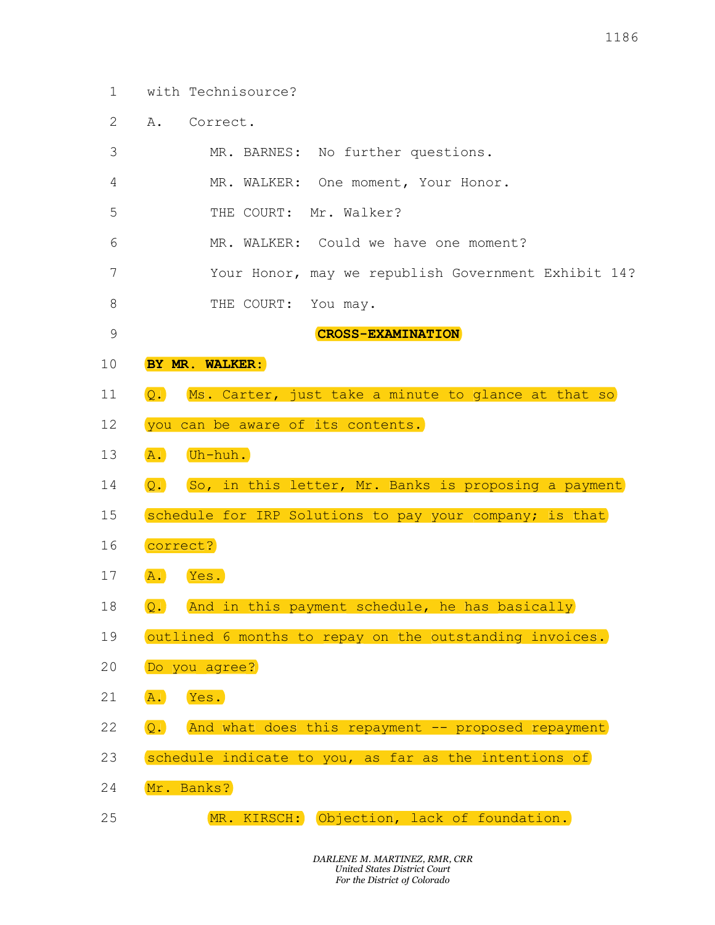- 1 with Technisource?
- 2 A. Correct.

|              |                  |                                       | 1186                                                    |
|--------------|------------------|---------------------------------------|---------------------------------------------------------|
| $\mathbf{1}$ |                  | with Technisource?                    |                                                         |
| 2            | Α.               | Correct.                              |                                                         |
| 3            |                  | MR. BARNES:                           | No further questions.                                   |
| 4            |                  | MR. WALKER:                           | One moment, Your Honor.                                 |
| 5            |                  | Mr. Walker?<br>THE COURT:             |                                                         |
| 6            |                  | MR. WALKER: Could we have one moment? |                                                         |
| 7            |                  |                                       | Your Honor, may we republish Government Exhibit 14?     |
| 8            |                  | THE COURT:<br>You may.                |                                                         |
| 9            |                  |                                       | <b>CROSS-EXAMINATION</b>                                |
| 10           |                  | BY MR. WALKER:                        |                                                         |
| 11           | $\overline{Q}$ . |                                       | Ms. Carter, just take a minute to glance at that so     |
| 12           |                  | you can be aware of its contents.     |                                                         |
| 13           | $\overline{A}$ . | Uh-huh.                               |                                                         |
| 14           | Q.               |                                       | So, in this letter, Mr. Banks is proposing a payment    |
|              |                  |                                       | schedule for IRP Solutions to pay your company; is that |
| 15           |                  |                                       |                                                         |
| 16           |                  | correct?                              |                                                         |
| 17           | $\overline{A}$ . | Yes.                                  |                                                         |
| 18           | Q.               |                                       | And in this payment schedule, he has basically          |
| 19           |                  |                                       | outlined 6 months to repay on the outstanding invoices. |
| 20           |                  | Do you agree?                         |                                                         |
| 21           | $\overline{A}$ . | Yes.                                  |                                                         |
| 22           | $\overline{Q}$ . |                                       | And what does this repayment -- proposed repayment      |
| 23           |                  |                                       | schedule indicate to you, as far as the intentions of   |
| 24           |                  | Mr. Banks?                            |                                                         |
| 25           |                  |                                       | MR. KIRSCH: Objection, lack of foundation.              |